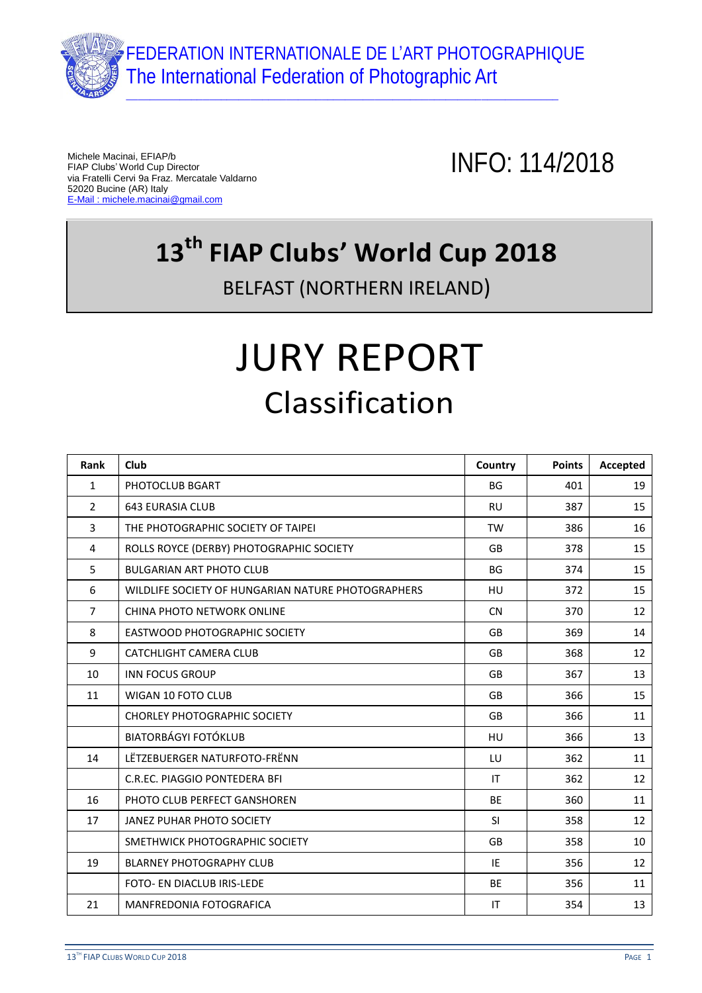

Michele Macinai, EFIAP/b FIAP Clubs' World Cup Director via Fratelli Cervi 9a Fraz. Mercatale Valdarno 52020 Bucine (AR) Italy E-Mail : michele.macinai@gmail.com

INFO: 114/2018

## **13th FIAP Clubs' World Cup 2018**

BELFAST (NORTHERN IRELAND)

## JURY REPORT Classification

| Rank           | <b>Club</b>                                        | Country   | <b>Points</b> | Accepted |
|----------------|----------------------------------------------------|-----------|---------------|----------|
| $\mathbf{1}$   | PHOTOCLUB BGART                                    | <b>BG</b> | 401           | 19       |
| $\overline{2}$ | <b>643 EURASIA CLUB</b>                            | <b>RU</b> | 387           | 15       |
| 3              | THE PHOTOGRAPHIC SOCIETY OF TAIPEI                 | <b>TW</b> | 386           | 16       |
| 4              | ROLLS ROYCE (DERBY) PHOTOGRAPHIC SOCIETY           | <b>GB</b> | 378           | 15       |
| 5              | <b>BULGARIAN ART PHOTO CLUB</b>                    | <b>BG</b> | 374           | 15       |
| 6              | WILDLIFE SOCIETY OF HUNGARIAN NATURE PHOTOGRAPHERS | <b>HU</b> | 372           | 15       |
| $\overline{7}$ | <b>CHINA PHOTO NETWORK ONLINE</b>                  | <b>CN</b> | 370           | 12       |
| 8              | EASTWOOD PHOTOGRAPHIC SOCIETY                      | <b>GB</b> | 369           | 14       |
| 9              | CATCHLIGHT CAMERA CLUB                             | <b>GB</b> | 368           | 12       |
| 10             | <b>INN FOCUS GROUP</b>                             | <b>GB</b> | 367           | 13       |
| 11             | <b>WIGAN 10 FOTO CLUB</b>                          | <b>GB</b> | 366           | 15       |
|                | <b>CHORLEY PHOTOGRAPHIC SOCIETY</b>                | <b>GB</b> | 366           | 11       |
|                | <b>BIATORBÁGYI FOTÓKLUB</b>                        | HU        | 366           | 13       |
| 14             | LËTZEBUERGER NATURFOTO-FRËNN                       | LU        | 362           | 11       |
|                | C.R.EC. PIAGGIO PONTEDERA BFI                      | IT        | 362           | 12       |
| 16             | PHOTO CLUB PERFECT GANSHOREN                       | <b>BE</b> | 360           | 11       |
| 17             | <b>JANEZ PUHAR PHOTO SOCIETY</b>                   | <b>SI</b> | 358           | 12       |
|                | SMETHWICK PHOTOGRAPHIC SOCIETY                     | <b>GB</b> | 358           | 10       |
| 19             | <b>BLARNEY PHOTOGRAPHY CLUB</b>                    | IE        | 356           | 12       |
|                | FOTO- EN DIACLUB IRIS-LEDE                         | <b>BE</b> | 356           | 11       |
| 21             | MANFREDONIA FOTOGRAFICA                            | IT        | 354           | 13       |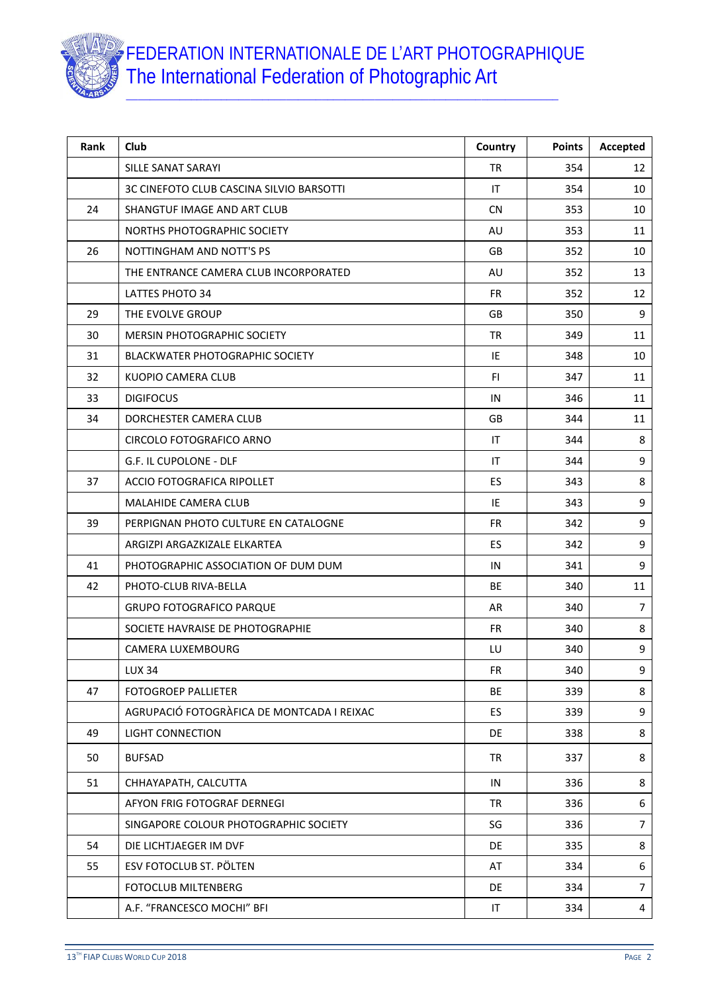

| Rank | Club                                       | Country   | <b>Points</b> | Accepted       |
|------|--------------------------------------------|-----------|---------------|----------------|
|      | SILLE SANAT SARAYI                         | <b>TR</b> | 354           | 12             |
|      | 3C CINEFOTO CLUB CASCINA SILVIO BARSOTTI   | IT        | 354           | 10             |
| 24   | SHANGTUF IMAGE AND ART CLUB                | <b>CN</b> | 353           | 10             |
|      | NORTHS PHOTOGRAPHIC SOCIETY                | AU        | 353           | 11             |
| 26   | NOTTINGHAM AND NOTT'S PS                   | <b>GB</b> | 352           | 10             |
|      | THE ENTRANCE CAMERA CLUB INCORPORATED      | AU        | 352           | 13             |
|      | LATTES PHOTO 34                            | <b>FR</b> | 352           | 12             |
| 29   | THE EVOLVE GROUP                           | GB        | 350           | 9              |
| 30   | <b>MERSIN PHOTOGRAPHIC SOCIETY</b>         | <b>TR</b> | 349           | 11             |
| 31   | <b>BLACKWATER PHOTOGRAPHIC SOCIETY</b>     | IE        | 348           | 10             |
| 32   | KUOPIO CAMERA CLUB                         | FI.       | 347           | 11             |
| 33   | <b>DIGIFOCUS</b>                           | IN        | 346           | 11             |
| 34   | DORCHESTER CAMERA CLUB                     | GB        | 344           | 11             |
|      | CIRCOLO FOTOGRAFICO ARNO                   | ΙT        | 344           | 8              |
|      | G.F. IL CUPOLONE - DLF                     | IT        | 344           | 9              |
| 37   | ACCIO FOTOGRAFICA RIPOLLET                 | <b>ES</b> | 343           | 8              |
|      | <b>MALAHIDE CAMERA CLUB</b>                | IE        | 343           | $\mathsf g$    |
| 39   | PERPIGNAN PHOTO CULTURE EN CATALOGNE       | <b>FR</b> | 342           | 9              |
|      | ARGIZPI ARGAZKIZALE ELKARTEA               | <b>ES</b> | 342           | 9              |
| 41   | PHOTOGRAPHIC ASSOCIATION OF DUM DUM        | IN        | 341           | 9              |
| 42   | PHOTO-CLUB RIVA-BELLA                      | <b>BE</b> | 340           | 11             |
|      | <b>GRUPO FOTOGRAFICO PARQUE</b>            | AR        | 340           | $\overline{7}$ |
|      | SOCIETE HAVRAISE DE PHOTOGRAPHIE           | <b>FR</b> | 340           | 8              |
|      | CAMERA LUXEMBOURG                          | LU        | 340           | 9              |
|      | <b>LUX 34</b>                              | <b>FR</b> | 340           | 9              |
| 47   | FOTOGROEP PALLIETER                        | BE        | 339           | 8              |
|      | AGRUPACIÓ FOTOGRÀFICA DE MONTCADA I REIXAC | ES        | 339           | 9              |
| 49   | <b>LIGHT CONNECTION</b>                    | <b>DE</b> | 338           | 8              |
| 50   | <b>BUFSAD</b>                              | <b>TR</b> | 337           | 8              |
| 51   | CHHAYAPATH, CALCUTTA                       | IN        | 336           | 8              |
|      | AFYON FRIG FOTOGRAF DERNEGI                | <b>TR</b> | 336           | 6              |
|      | SINGAPORE COLOUR PHOTOGRAPHIC SOCIETY      | SG        | 336           | $\overline{7}$ |
| 54   | DIE LICHTJAEGER IM DVF                     | DE        | 335           | 8              |
| 55   | ESV FOTOCLUB ST. PÖLTEN                    | AT        | 334           | 6              |
|      | <b>FOTOCLUB MILTENBERG</b>                 | DE.       | 334           | $\overline{7}$ |
|      | A.F. "FRANCESCO MOCHI" BFI                 | IT        | 334           | 4              |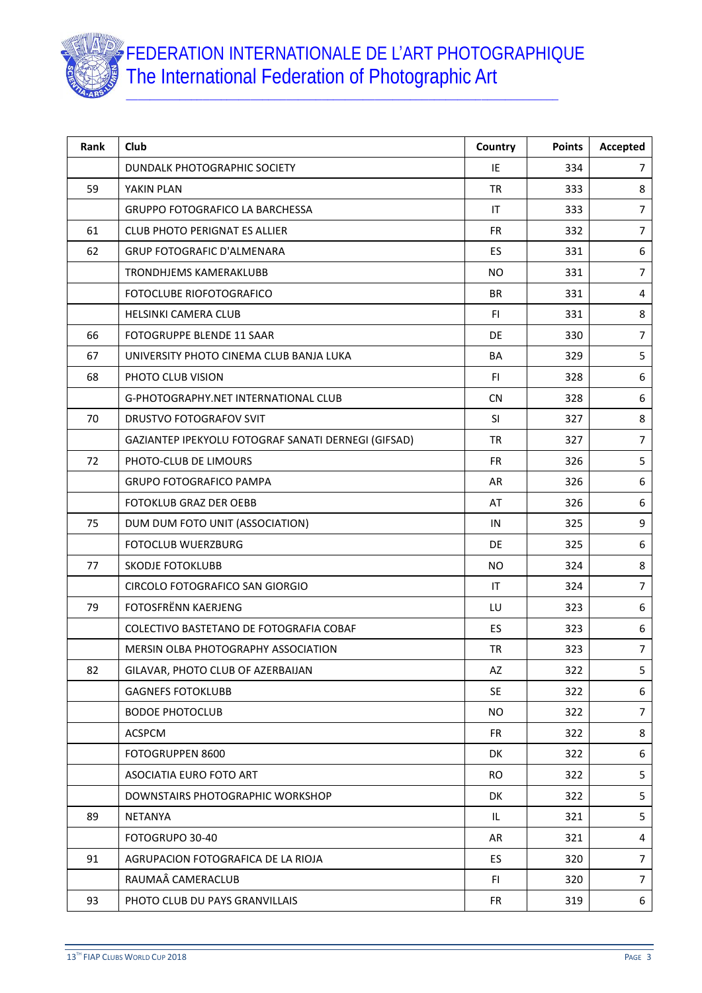

| Rank | <b>Club</b>                                         | Country                | <b>Points</b> | Accepted       |
|------|-----------------------------------------------------|------------------------|---------------|----------------|
|      | DUNDALK PHOTOGRAPHIC SOCIETY                        | IE                     | 334           | $\overline{7}$ |
| 59   | YAKIN PLAN                                          | <b>TR</b>              | 333           | 8              |
|      | <b>GRUPPO FOTOGRAFICO LA BARCHESSA</b>              | IT                     | 333           | $\overline{7}$ |
| 61   | <b>CLUB PHOTO PERIGNAT ES ALLIER</b>                | <b>FR</b>              | 332           | $\overline{7}$ |
| 62   | <b>GRUP FOTOGRAFIC D'ALMENARA</b>                   | ES                     | 331           | 6              |
|      | TRONDHJEMS KAMERAKLUBB                              | <b>NO</b>              | 331           | $\overline{7}$ |
|      | FOTOCLUBE RIOFOTOGRAFICO                            | <b>BR</b>              | 331           | 4              |
|      | <b>HELSINKI CAMERA CLUB</b>                         | FI.                    | 331           | $\bf 8$        |
| 66   | FOTOGRUPPE BLENDE 11 SAAR                           | <b>DE</b>              | 330           | $\overline{7}$ |
| 67   | UNIVERSITY PHOTO CINEMA CLUB BANJA LUKA             | BA                     | 329           | 5              |
| 68   | PHOTO CLUB VISION                                   | FI.                    | 328           | 6              |
|      | G-PHOTOGRAPHY.NET INTERNATIONAL CLUB                | <b>CN</b>              | 328           | 6              |
| 70   | <b>DRUSTVO FOTOGRAFOV SVIT</b>                      | <b>SI</b>              | 327           | 8              |
|      | GAZIANTEP IPEKYOLU FOTOGRAF SANATI DERNEGI (GIFSAD) | <b>TR</b>              | 327           | $\overline{7}$ |
| 72   | PHOTO-CLUB DE LIMOURS                               | <b>FR</b>              | 326           | 5              |
|      | <b>GRUPO FOTOGRAFICO PAMPA</b>                      | AR                     | 326           | 6              |
|      | FOTOKLUB GRAZ DER OEBB                              | AT                     | 326           | 6              |
| 75   | DUM DUM FOTO UNIT (ASSOCIATION)                     | IN                     | 325           | 9              |
|      | <b>FOTOCLUB WUERZBURG</b>                           | <b>DE</b>              | 325           | 6              |
| 77   | SKODJE FOTOKLUBB                                    | N <sub>O</sub>         | 324           | 8              |
|      | CIRCOLO FOTOGRAFICO SAN GIORGIO                     | $\mathsf{I}\mathsf{T}$ | 324           | $\overline{7}$ |
| 79   | FOTOSFRËNN KAERJENG                                 | LU                     | 323           | 6              |
|      | COLECTIVO BASTETANO DE FOTOGRAFIA COBAF             | ES                     | 323           | 6              |
|      | MERSIN OLBA PHOTOGRAPHY ASSOCIATION                 | <b>TR</b>              | 323           | $\overline{7}$ |
| 82   | GILAVAR, PHOTO CLUB OF AZERBAIJAN                   | AZ                     | 322           | 5              |
|      | <b>GAGNEFS FOTOKLUBB</b>                            | <b>SE</b>              | 322           | 6              |
|      | <b>BODOE PHOTOCLUB</b>                              | <b>NO</b>              | 322           | $\overline{7}$ |
|      | <b>ACSPCM</b>                                       | <b>FR</b>              | 322           | 8              |
|      | FOTOGRUPPEN 8600                                    | DK                     | 322           | 6              |
|      | ASOCIATIA EURO FOTO ART                             | <b>RO</b>              | 322           | 5              |
|      | DOWNSTAIRS PHOTOGRAPHIC WORKSHOP                    | DK                     | 322           | 5              |
| 89   | <b>NETANYA</b>                                      | IL                     | 321           | 5              |
|      | FOTOGRUPO 30-40                                     | AR                     | 321           | 4              |
| 91   | AGRUPACION FOTOGRAFICA DE LA RIOJA                  | ES.                    | 320           | $\overline{7}$ |
|      | RAUMAÂ CAMERACLUB                                   | FI.                    | 320           | 7              |
| 93   | PHOTO CLUB DU PAYS GRANVILLAIS                      | <b>FR</b>              | 319           | 6              |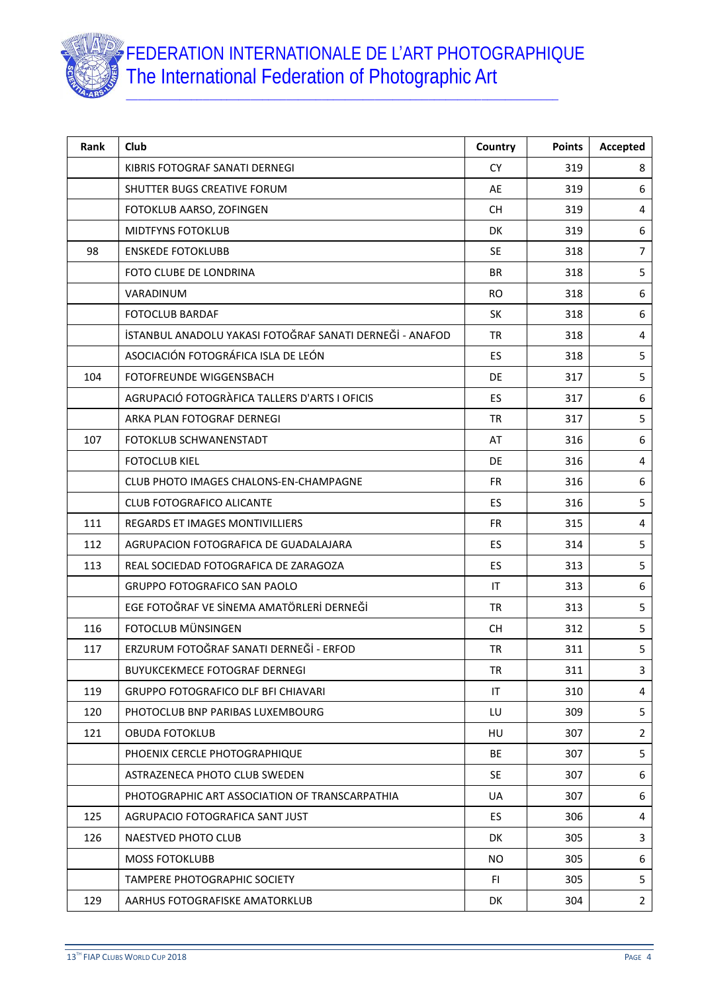

| Rank | Club                                                     | Country   | <b>Points</b> | Accepted       |
|------|----------------------------------------------------------|-----------|---------------|----------------|
|      | KIBRIS FOTOGRAF SANATI DERNEGI                           | <b>CY</b> | 319           | 8              |
|      | SHUTTER BUGS CREATIVE FORUM                              | AE        | 319           | 6              |
|      | FOTOKLUB AARSO, ZOFINGEN                                 | <b>CH</b> | 319           | 4              |
|      | <b>MIDTFYNS FOTOKLUB</b>                                 | <b>DK</b> | 319           | 6              |
| 98   | <b>ENSKEDE FOTOKLUBB</b>                                 | <b>SE</b> | 318           | $\overline{7}$ |
|      | FOTO CLUBE DE LONDRINA                                   | <b>BR</b> | 318           | 5              |
|      | VARADINUM                                                | <b>RO</b> | 318           | 6              |
|      | <b>FOTOCLUB BARDAF</b>                                   | <b>SK</b> | 318           | 6              |
|      | İSTANBUL ANADOLU YAKASI FOTOĞRAF SANATI DERNEĞİ - ANAFOD | <b>TR</b> | 318           | 4              |
|      | ASOCIACIÓN FOTOGRÁFICA ISLA DE LEÓN                      | ES        | 318           | 5              |
| 104  | FOTOFREUNDE WIGGENSBACH                                  | DE.       | 317           | 5              |
|      | AGRUPACIÓ FOTOGRÀFICA TALLERS D'ARTS I OFICIS            | ES        | 317           | 6              |
|      | ARKA PLAN FOTOGRAF DERNEGI                               | <b>TR</b> | 317           | 5              |
| 107  | FOTOKLUB SCHWANENSTADT                                   | AT        | 316           | 6              |
|      | <b>FOTOCLUB KIEL</b>                                     | <b>DE</b> | 316           | 4              |
|      | CLUB PHOTO IMAGES CHALONS-EN-CHAMPAGNE                   | <b>FR</b> | 316           | 6              |
|      | <b>CLUB FOTOGRAFICO ALICANTE</b>                         | ES        | 316           | 5              |
| 111  | REGARDS ET IMAGES MONTIVILLIERS                          | FR.       | 315           | $\overline{4}$ |
| 112  | AGRUPACION FOTOGRAFICA DE GUADALAJARA                    | <b>ES</b> | 314           | 5              |
| 113  | REAL SOCIEDAD FOTOGRAFICA DE ZARAGOZA                    | ES        | 313           | 5              |
|      | <b>GRUPPO FOTOGRAFICO SAN PAOLO</b>                      | IT        | 313           | 6              |
|      | EGE FOTOĞRAF VE SİNEMA AMATÖRLERİ DERNEĞİ                | <b>TR</b> | 313           | 5              |
| 116  | FOTOCLUB MÜNSINGEN                                       | <b>CH</b> | 312           | $\mathsf S$    |
| 117  | ERZURUM FOTOĞRAF SANATI DERNEĞİ - ERFOD                  | <b>TR</b> | 311           | 5              |
|      | <b>BUYUKCEKMECE FOTOGRAF DERNEGI</b>                     | TR        | 311           | 3              |
| 119  | <b>GRUPPO FOTOGRAFICO DLF BFI CHIAVARI</b>               | IT        | 310           | 4              |
| 120  | PHOTOCLUB BNP PARIBAS LUXEMBOURG                         | LU        | 309           | 5              |
| 121  | <b>OBUDA FOTOKLUB</b>                                    | HU        | 307           | 2              |
|      | PHOENIX CERCLE PHOTOGRAPHIQUE                            | BE        | 307           | 5              |
|      | ASTRAZENECA PHOTO CLUB SWEDEN                            | <b>SE</b> | 307           | 6              |
|      | PHOTOGRAPHIC ART ASSOCIATION OF TRANSCARPATHIA           | <b>UA</b> | 307           | 6              |
| 125  | AGRUPACIO FOTOGRAFICA SANT JUST                          | ES.       | 306           | 4              |
| 126  | NAESTVED PHOTO CLUB                                      | DK        | 305           | 3              |
|      | <b>MOSS FOTOKLUBB</b>                                    | NO.       | 305           | 6              |
|      | <b>TAMPERE PHOTOGRAPHIC SOCIETY</b>                      | FI.       | 305           | 5              |
| 129  | AARHUS FOTOGRAFISKE AMATORKLUB                           | DK        | 304           | $\overline{2}$ |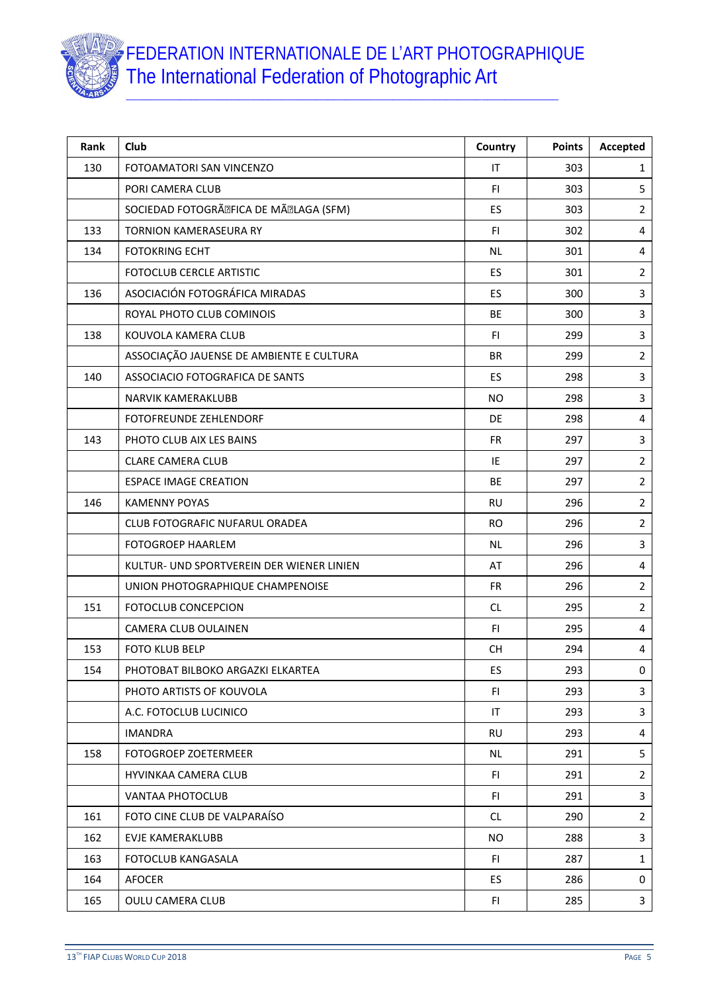

| Rank | Club                                      | Country   | <b>Points</b> | Accepted                |
|------|-------------------------------------------|-----------|---------------|-------------------------|
| 130  | FOTOAMATORI SAN VINCENZO                  | IT        | 303           | 1                       |
|      | PORI CAMERA CLUB                          | <b>FI</b> | 303           | 5                       |
|      | SOCIEDAD FOTOGRî FICA DE Mî LAGA (SFM)    | <b>ES</b> | 303           | $\overline{2}$          |
| 133  | <b>TORNION KAMERASEURA RY</b>             | <b>FI</b> | 302           | $\overline{\mathbf{4}}$ |
| 134  | <b>FOTOKRING ECHT</b>                     | <b>NL</b> | 301           | 4                       |
|      | FOTOCLUB CERCLE ARTISTIC                  | ES        | 301           | $\overline{2}$          |
| 136  | ASOCIACIÓN FOTOGRÁFICA MIRADAS            | ES        | 300           | 3                       |
|      | ROYAL PHOTO CLUB COMINOIS                 | BE        | 300           | 3                       |
| 138  | KOUVOLA KAMERA CLUB                       | FI.       | 299           | 3                       |
|      | ASSOCIAÇÃO JAUENSE DE AMBIENTE E CULTURA  | <b>BR</b> | 299           | $\overline{2}$          |
| 140  | ASSOCIACIO FOTOGRAFICA DE SANTS           | <b>ES</b> | 298           | 3                       |
|      | NARVIK KAMERAKLUBB                        | <b>NO</b> | 298           | 3                       |
|      | <b>FOTOFREUNDE ZEHLENDORF</b>             | <b>DE</b> | 298           | 4                       |
| 143  | PHOTO CLUB AIX LES BAINS                  | <b>FR</b> | 297           | 3                       |
|      | <b>CLARE CAMERA CLUB</b>                  | IE        | 297           | $\overline{2}$          |
|      | <b>ESPACE IMAGE CREATION</b>              | <b>BE</b> | 297           | $\overline{2}$          |
| 146  | <b>KAMENNY POYAS</b>                      | <b>RU</b> | 296           | $\overline{2}$          |
|      | <b>CLUB FOTOGRAFIC NUFARUL ORADEA</b>     | <b>RO</b> | 296           | $\overline{2}$          |
|      | <b>FOTOGROEP HAARLEM</b>                  | <b>NL</b> | 296           | 3                       |
|      | KULTUR- UND SPORTVEREIN DER WIENER LINIEN | AT        | 296           | 4                       |
|      | UNION PHOTOGRAPHIQUE CHAMPENOISE          | <b>FR</b> | 296           | $\overline{2}$          |
| 151  | <b>FOTOCLUB CONCEPCION</b>                | CL        | 295           | $\overline{2}$          |
|      | CAMERA CLUB OULAINEN                      | FI.       | 295           | $\overline{\mathbf{4}}$ |
| 153  | <b>FOTO KLUB BELP</b>                     | <b>CH</b> | 294           | 4                       |
| 154  | PHOTOBAT BILBOKO ARGAZKI ELKARTEA         | ES        | 293           | 0                       |
|      | PHOTO ARTISTS OF KOUVOLA                  | FI        | 293           | 3                       |
|      | A.C. FOTOCLUB LUCINICO                    | IT        | 293           | 3                       |
|      | <b>IMANDRA</b>                            | <b>RU</b> | 293           | 4                       |
| 158  | FOTOGROEP ZOETERMEER                      | NL        | 291           | 5                       |
|      | HYVINKAA CAMERA CLUB                      | FI.       | 291           | $\overline{2}$          |
|      | VANTAA PHOTOCLUB                          | FI.       | 291           | 3                       |
| 161  | FOTO CINE CLUB DE VALPARAÍSO              | CL.       | 290           | 2                       |
| 162  | EVJE KAMERAKLUBB                          | NO.       | 288           | 3                       |
| 163  | FOTOCLUB KANGASALA                        | FI.       | 287           | 1                       |
| 164  | <b>AFOCER</b>                             | ES.       | 286           | 0                       |
| 165  | <b>OULU CAMERA CLUB</b>                   | FI.       | 285           | 3                       |